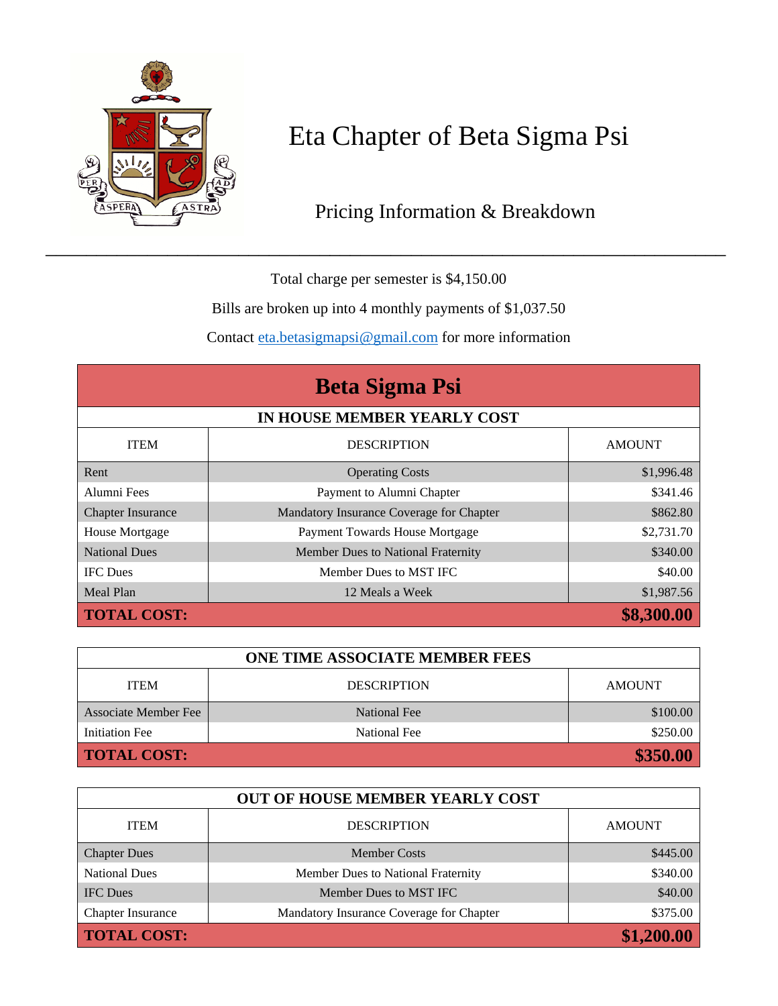

## Eta Chapter of Beta Sigma Psi

## Pricing Information & Breakdown

Total charge per semester is \$4,150.00

Bills are broken up into 4 monthly payments of \$1,037.50

Contact [eta.betasigmapsi@gmail.com](mailto:eta.betasigmapsi@gmail.com) for more information

| <b>Beta Sigma Psi</b><br>IN HOUSE MEMBER YEARLY COST |                                          |            |  |  |
|------------------------------------------------------|------------------------------------------|------------|--|--|
|                                                      |                                          |            |  |  |
| Rent                                                 | <b>Operating Costs</b>                   | \$1,996.48 |  |  |
| Alumni Fees                                          | Payment to Alumni Chapter                | \$341.46   |  |  |
| <b>Chapter Insurance</b>                             | Mandatory Insurance Coverage for Chapter | \$862.80   |  |  |
| House Mortgage                                       | Payment Towards House Mortgage           | \$2,731.70 |  |  |
| <b>National Dues</b>                                 | Member Dues to National Fraternity       | \$340.00   |  |  |
| <b>IFC</b> Dues                                      | Member Dues to MST IFC                   | \$40.00    |  |  |
| Meal Plan                                            | 12 Meals a Week                          | \$1,987.56 |  |  |
| <b>TOTAL COST:</b>                                   |                                          | \$8,300.00 |  |  |

| <b>ONE TIME ASSOCIATE MEMBER FEES</b> |                    |               |  |  |
|---------------------------------------|--------------------|---------------|--|--|
| <b>ITEM</b>                           | <b>DESCRIPTION</b> | <b>AMOUNT</b> |  |  |
| Associate Member Fee                  | National Fee       | \$100.00      |  |  |
| Initiation Fee                        | National Fee       | \$250.00      |  |  |
| \$350.00<br><b>TOTAL COST:</b>        |                    |               |  |  |

| <b>OUT OF HOUSE MEMBER YEARLY COST</b> |                                          |               |  |  |
|----------------------------------------|------------------------------------------|---------------|--|--|
| <b>ITEM</b>                            | <b>DESCRIPTION</b>                       | <b>AMOUNT</b> |  |  |
| <b>Chapter Dues</b>                    | <b>Member Costs</b>                      | \$445.00      |  |  |
| <b>National Dues</b>                   | Member Dues to National Fraternity       | \$340.00      |  |  |
| <b>IFC</b> Dues                        | Member Dues to MST IFC                   | \$40.00       |  |  |
| Chapter Insurance                      | Mandatory Insurance Coverage for Chapter | \$375.00      |  |  |
| <b>TOTAL COST:</b>                     |                                          | \$1,200.00    |  |  |